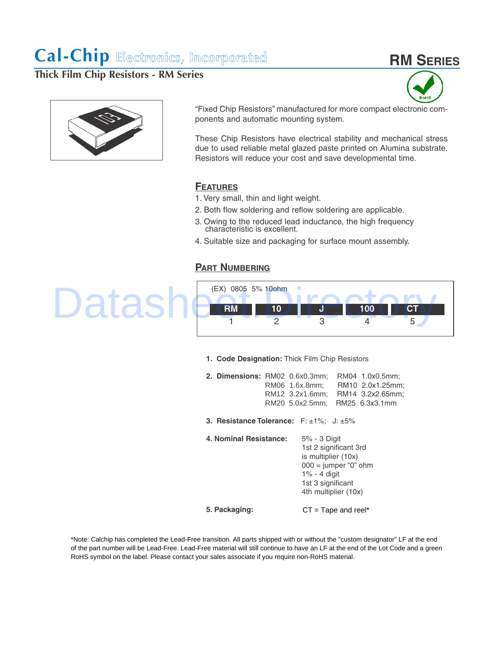# **RM SERIES**

**Thick Film Chip Resistors - RM Series**





"Fixed Chip Resistors" manufactured for more compact electronic components and automatic mounting system.

These Chip Resistors have electrical stability and mechanical stress due to used reliable metal glazed paste printed on Alumina substrate. Resistors will reduce your cost and save developmental time.

### **FEATURES**

- 1. Very small, thin and light weight.
- 2. Both flow soldering and reflow soldering are applicable.
- 3. Owing to the reduced lead inductance, the high frequency characteristic is excellent.
- 4. Suitable size and packaging for surface mount assembly.

### **PART NUMBERING**

## (EX) 0805 5% 10ohm **RM 10 J 100 CT** 1 2 3 4 5 Datashe<sup>(EX)</sup> 0805 5% 100nm

**1. Code Designation:** Thick Film Chip Resistors

| 2. Dimensions: RM02 0.6x0.3mm;                              | RM06 1.6x.8mm;<br>RM12 3.2x1.6mm:<br>RM20 5.0x2.5mm:                                                                                                   | RM04 1.0x0.5mm;<br>RM10 2.0x1.25mm;<br>RM14 3.2x2.65mm:<br>RM25 6.3x3.1mm |
|-------------------------------------------------------------|--------------------------------------------------------------------------------------------------------------------------------------------------------|---------------------------------------------------------------------------|
| <b>3. Resistance Tolerance:</b> $F: \pm 1\%$ ; J: $\pm 5\%$ |                                                                                                                                                        |                                                                           |
| 4. Nominal Resistance:                                      | 5% - 3 Digit<br>1st 2 significant 3rd<br>is multiplier (10x)<br>$000 =$ jumper "0" ohm<br>$1\% - 4$ digit<br>1st 3 significant<br>4th multiplier (10x) |                                                                           |
| 5. Packaging:                                               | $CT = Tape$ and reel*                                                                                                                                  |                                                                           |

\*Note: Calchip has completed the Lead-Free transition. All parts shipped with or without the "custom designator" LF at the end of the part number will be Lead-Free. Lead-Free material will still continue to have an LF at the end of the Lot Code and a green RoHS symbol on the label. Please contact your sales associate if you require non-RoHS material.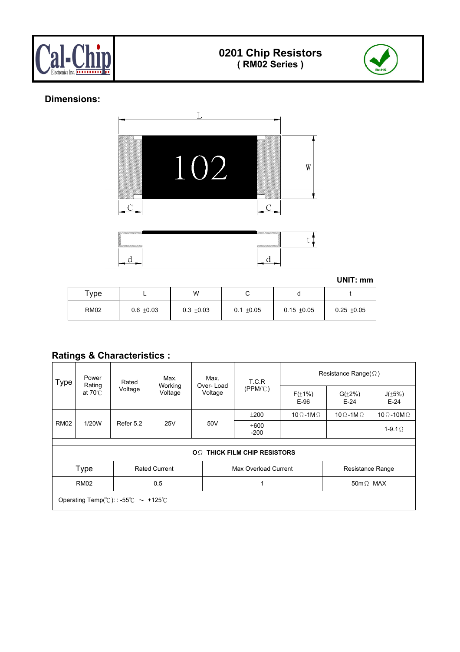



### **Dimensions:**





**UNIT: mm** 

| $\tau$ ype  |                | W              |                |                 |               |
|-------------|----------------|----------------|----------------|-----------------|---------------|
| <b>RM02</b> | $0.6 \pm 0.03$ | $0.3 \pm 0.03$ | $0.1 \pm 0.05$ | $0.15 \pm 0.05$ | $0.25 + 0.05$ |

### **Ratings & Characteristics :**

| <b>Type</b> | Power<br>Rating   | Rated                                                                                          | Max.<br>Working      | Max.<br>Over-Load | T.C.R                              | Resistance Range( $\Omega$ ) |                          |                           |
|-------------|-------------------|------------------------------------------------------------------------------------------------|----------------------|-------------------|------------------------------------|------------------------------|--------------------------|---------------------------|
|             | at $70^{\circ}$ C | Voltage                                                                                        | Voltage              | Voltage           | (PPM/C)                            | $F(\pm 1\%)$<br>$E-96$       | $G(\pm 2\%)$<br>$E-24$   | $J(\pm 5\%)$<br>$E-24$    |
|             |                   |                                                                                                |                      |                   | ±200                               | 10 $\Omega$ -1M $\Omega$     | 10 $\Omega$ -1M $\Omega$ | 10 $\Omega$ -10M $\Omega$ |
| <b>RM02</b> | 1/20W             | Refer 5.2                                                                                      | 25V                  | 50V               | $+600$<br>$-200$                   |                              |                          | 1-9.1 $\Omega$            |
|             |                   |                                                                                                |                      |                   |                                    |                              |                          |                           |
|             |                   |                                                                                                |                      |                   | $OOmega$ THICK FILM CHIP RESISTORS |                              |                          |                           |
|             | <b>Type</b>       |                                                                                                | <b>Rated Current</b> |                   | Max Overload Current               |                              | Resistance Range         |                           |
|             | <b>RM02</b>       |                                                                                                | 0.5                  |                   |                                    |                              | 50m $\Omega$ MAX         |                           |
|             |                   | Operating Temp( ${}^{\circ}\text{C}$ ): : -55 ${}^{\circ}\text{C} \sim +125{}^{\circ}\text{C}$ |                      |                   |                                    |                              |                          |                           |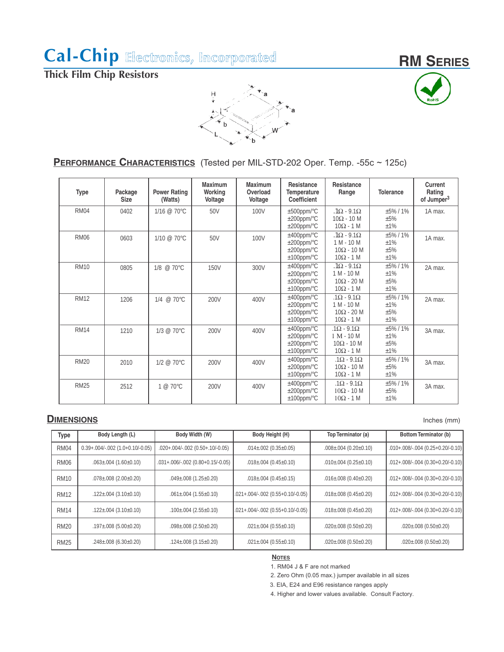**RM SERIES**

**Thick Film Chip Resistors** 



### **PERFORMANCE CHARACTERISTICS** (Tested per MIL-STD-202 Oper. Temp. -55c ~ 125c)

| <b>Type</b> | Package<br><b>Size</b> | <b>Power Rating</b><br>(Watts) | <b>Maximum</b><br>Working<br>Voltage | <b>Maximum</b><br>Overload<br>Voltage | <b>Resistance</b><br><b>Temperature</b><br>Coefficient                 | <b>Resistance</b><br>Range                                                      | <b>Tolerance</b>                   | Current<br>Rating<br>of Jumper <sup>3</sup> |
|-------------|------------------------|--------------------------------|--------------------------------------|---------------------------------------|------------------------------------------------------------------------|---------------------------------------------------------------------------------|------------------------------------|---------------------------------------------|
| <b>RM04</b> | 0402                   | $1/16 \ @ 70^{\circ}$ C        | 50V                                  | 100V                                  | $±500$ ppm/°C<br>$\pm 200$ ppm/°C<br>$\pm 200$ ppm/°C                  | $.1\Omega - 9.1\Omega$<br>$10\Omega - 10$ M<br>$10\Omega - 1$ M                 | $+5\%$ / 1%<br>±5%<br>±1%          | 1A max.                                     |
| <b>RM06</b> | 0603                   | $1/10 \ @ \ 70^{\circ}$ C      | 50V                                  | 100V                                  | $±400$ ppm/°C<br>$\pm 200$ ppm/°C<br>$\pm 200$ ppm/°C<br>$±100$ ppm/°C | $1\Omega - 9.1\Omega$<br>$1 M - 10 M$<br>$10\Omega - 10$ M<br>$10\Omega - 1$ M  | $+5\%$ / 1%<br>±1%<br>±5%<br>±1%   | 1A max.                                     |
| <b>RM10</b> | 0805                   | 1/8 @ 70°C                     | <b>150V</b>                          | 300V                                  | $±400$ ppm/°C<br>$\pm 200$ ppm/°C<br>$\pm 200$ ppm/°C<br>$±100$ ppm/°C | $.1\Omega - 9.1\Omega$<br>$1 M - 10 M$<br>$10\Omega - 20$ M<br>$10\Omega - 1$ M | $+5\%$ / 1%<br>±1%<br>$+5%$<br>±1% | 2A max.                                     |
| <b>RM12</b> | 1206                   | 1/4 @ 70°C                     | 200V                                 | 400V                                  | $±400$ ppm/°C<br>$\pm 200$ ppm/°C<br>$\pm 200$ ppm/°C<br>$±100$ ppm/°C | $.1\Omega - 9.1\Omega$<br>$1 M - 10 M$<br>$10\Omega - 20$ M<br>$10\Omega - 1$ M | $+5\%$ / 1%<br>±1%<br>$+5%$<br>±1% | 2A max.                                     |
| <b>RM14</b> | 1210                   | $1/3 @ 70^{\circ}$ C           | 200V                                 | 400V                                  | $±400$ ppm/°C<br>$\pm 200$ ppm/°C<br>$\pm 200$ ppm/°C<br>$±100$ ppm/°C | $.1\Omega - 9.1\Omega$<br>$1 M - 10 M$<br>$10\Omega - 10$ M<br>$10\Omega - 1$ M | $+5\%$ / 1%<br>±1%<br>±5%<br>±1%   | 3A max.                                     |
| <b>RM20</b> | 2010                   | $1/2 @ 70^{\circ}$ C           | 200V                                 | 400V                                  | $±400$ ppm/°C<br>$\pm 200$ ppm/°C<br>$±100$ ppm/°C                     | $.1\Omega - 9.1\Omega$<br>$10\Omega - 10$ M<br>$10\Omega - 1$ M                 | $+5\%$ / 1%<br>±5%<br>±1%          | 3A max.                                     |
| <b>RM25</b> | 2512                   | $1 @ 70^{\circ}$ C             | 200V                                 | 400V                                  | $±400$ ppm/°C<br>$\pm 200$ ppm/°C<br>$±100$ ppm/°C                     | $.1\Omega - 9.1\Omega$<br>$10\Omega - 10$ M<br>$10\Omega - 1$ M                 | $+5\%$ / 1%<br>±5%<br>±1%          | 3A max.                                     |

### **DIMENSIONS** Inches (mm)

| <b>Type</b> | Body Length (L)                             | Body Width (W)                       | Body Height (H)                     | Top Terminator (a)                | Bottom Terminator (b)                 |
|-------------|---------------------------------------------|--------------------------------------|-------------------------------------|-----------------------------------|---------------------------------------|
| <b>RM04</b> | $0.39 + .004 / -002$ $(1.0 + 0.10 / -0.05)$ | $.020+.004/-.002$ (0.50 + .10/-0.05) | $.014 \pm .002$ (0.35 $\pm$ 0.05)   | $.008\pm.004$ (0.20 $\pm$ 0.10)   | $.010+.008/-.004$ $(0.25+0.20/-0.10)$ |
| <b>RM06</b> | $.063 \pm .004$ (1.60 $\pm$ 0.10)           | $.031+.006/-.002$ (0.80+0.15/-0.05)  | $.018 \pm .004$ (0.45 $\pm$ 0.10)   | $.010\pm.004$ (0.25 $\pm$ 0.10)   | $.012+.008/-.004$ $(0.30+0.20/-0.10)$ |
| <b>RM10</b> | $.078\pm.008$ (2.00 $\pm$ 0.20)             | $.049 \pm .008$ (1.25 $\pm$ 0.20)    | $.018 \pm .004$ (0.45 $\pm$ 0.15)   | $.016 \pm .008$ (0.40 $\pm$ 0.20) | $.012+.008/-.004$ $(0.30+0.20/-0.10)$ |
| <b>RM12</b> | $.122 \pm .004$ (3.10 $\pm$ 0.10)           | $.061\pm.004$ (1.55 $\pm$ 0.10)      | $.021+.004/-.002$ (0.55+0.10/-0.05) | $.018 \pm .008$ (0.45 $\pm$ 0.20) | $.012+.008/-.004$ $(0.30+0.20/-0.10)$ |
| <b>RM14</b> | $.122 \pm .004$ (3.10 $\pm$ 0.10)           | $.100\pm.004$ (2.55 $\pm$ 0.10)      | 0.021+.004/-.002 (0.55+0.10/-0.05)  | $.018\pm.008$ (0.45 $\pm$ 0.20)   | $.012+.008/-.004$ $(0.30+0.20/-0.10)$ |
| <b>RM20</b> | $.197\pm.008$ (5.00 $\pm$ 0.20)             | $.098\pm.008$ (2.50 $\pm$ 0.20)      | $.021 \pm .004$ (0.55 $\pm$ 0.10)   | $.020 \pm .008$ (0.50 $\pm$ 0.20) | $.020 \pm .008$ (0.50 $\pm$ 0.20)     |
| <b>RM25</b> | $.248\pm.008$ (6.30 $\pm$ 0.20)             | $.124 \pm .008$ (3.15 $\pm$ 0.20)    | $.021 \pm .004$ (0.55 $\pm$ 0.10)   | $.020 \pm .008$ (0.50 $\pm$ 0.20) | $.020 \pm .008$ (0.50 $\pm$ 0.20)     |

#### **NOTES**

1. RM04 J & F are not marked

2. Zero Ohm (0.05 max.) jumper available in all sizes

3. EIA, E24 and E96 resistance ranges apply

4. Higher and lower values available. Consult Factory.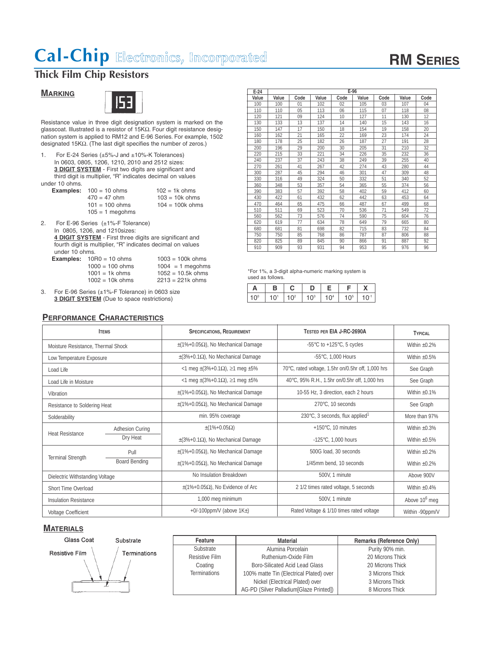# **RM SERIES**

## **Thick Film Chip Resistors**

### **MARKING**



Resistance value in three digit designation system is marked on the glasscoat. Illustrated is a resistor of 15KΩ. Four digit resistance designation system is applied to RM12 and E-96 Series. For example, 1502 designated 15KΩ. (The last digit specifies the number of zeros.)

1. For E-24 Series (±5%-J and ±10%-K Tolerances) In 0603, 0805, 1206, 1210, 2010 and 2512 sizes: **3 DIGIT SYSTEM** - First two digits are significant and third digit is multiplier, "R" indicates decimal on values under 10 ohms.

|                   | $102 = 1k$ ohms                  |
|-------------------|----------------------------------|
| $470 = 47$ ohm    | $103 = 10k$ ohms                 |
| $101 = 100$ ohms  | $104 = 100k$ ohms                |
| $105 = 1$ megohms |                                  |
|                   | <b>Examples:</b> $100 = 10$ ohms |

2. For E-96 Series (±1%-F Tolerance) In 0805, 1206, and 1210sizes: **4 DIGIT SYSTEM** - First three digits are significant and fourth digit is multiplier, "R" indicates decimal on values under 10 ohms.

**Examples:** 10R0 = 10 ohms 1003 = 100k ohms 1000 = 100 ohms 1004 = 1 megohm  $1004 = 1$  megohms 1001 = 1k ohms 1052 = 10.5k ohms<br>1002 = 10k ohms 2213 = 221k ohms  $1002 = 10k$  ohms

3. For E-96 Series (±1%-F Tolerance) in 0603 size **3 DIGIT SYSTEM** (Due to space restrictions)

#### **PERFORMANCE CHARACTERISTICS**

| $E-24$ |       |      |       | $E-96$ |       |      |       |      |
|--------|-------|------|-------|--------|-------|------|-------|------|
| Value  | Value | Code | Value | Code   | Value | Code | Value | Code |
| 100    | 100   | 01   | 102   | 02     | 105   | 03   | 107   | 04   |
| 110    | 110   | 05   | 113   | 06     | 115   | 07   | 118   | 08   |
| 120    | 121   | 09   | 124   | 10     | 127   | 11   | 130   | 12   |
| 130    | 133   | 13   | 137   | 14     | 140   | 15   | 143   | 16   |
| 150    | 147   | 17   | 150   | 18     | 154   | 19   | 158   | 20   |
| 160    | 162   | 21   | 165   | 22     | 169   | 23   | 174   | 24   |
| 180    | 178   | 25   | 182   | 26     | 187   | 27   | 191   | 28   |
| 200    | 196   | 29   | 200   | 30     | 205   | 31   | 210   | 32   |
| 220    | 215   | 33   | 221   | 34     | 226   | 35   | 232   | 36   |
| 240    | 237   | 37   | 243   | 38     | 249   | 39   | 255   | 40   |
| 270    | 261   | 41   | 267   | 42     | 274   | 43   | 280   | 44   |
| 300    | 287   | 45   | 294   | 46     | 301   | 47   | 309   | 48   |
| 330    | 316   | 49   | 324   | 50     | 332   | 51   | 340   | 52   |
| 360    | 348   | 53   | 357   | 54     | 365   | 55   | 374   | 56   |
| 390    | 383   | 57   | 392   | 58     | 402   | 59   | 412   | 60   |
| 430    | 422   | 61   | 432   | 62     | 442   | 63   | 453   | 64   |
| 470    | 464   | 65   | 475   | 66     | 487   | 67   | 499   | 68   |
| 510    | 511   | 69   | 523   | 70     | 536   | 71   | 549   | 72   |
| 560    | 562   | 73   | 576   | 74     | 590   | 75   | 604   | 76   |
| 620    | 619   | 77   | 634   | 78     | 649   | 79   | 665   | 80   |
| 680    | 681   | 81   | 698   | 82     | 715   | 83   | 732   | 84   |
| 750    | 750   | 85   | 768   | 86     | 787   | 87   | 806   | 88   |
| 820    | 825   | 89   | 845   | 90     | 866   | 91   | 887   | 92   |
| 910    | 909   | 93   | 931   | 94     | 953   | 95   | 976   | 96   |

\*For 1%, a 3-digit alpha-numeric marking system is used as follows.

| A   | в               | C.              |                 |                 |                 |     |
|-----|-----------------|-----------------|-----------------|-----------------|-----------------|-----|
| 1∩° | 10 <sup>1</sup> | 10 <sup>2</sup> | 10 <sup>3</sup> | 10 <sup>4</sup> | 10 <sup>5</sup> | i Ü |

|                                    | <b>ITEMS</b>           | <b>SPECIFICATIONS, REQUIREMENT</b>                      | TESTED PER EIA J-RC-2690A                             | TYPICAL            |
|------------------------------------|------------------------|---------------------------------------------------------|-------------------------------------------------------|--------------------|
| Moisture Resistance, Thermal Shock |                        | $\pm$ (1%+0.05 $\Omega$ ), No Mechanical Damage         | -55 $\degree$ C to +125 $\degree$ C, 5 cycles         | Within $+0.2%$     |
| Low Temperature Exposure           |                        | $\pm$ (3%+0.1 $\Omega$ ), No Mechanical Damage          | -55°C, 1,000 Hours                                    | Within $\pm 0.5\%$ |
| Load Life                          |                        | <1 meg ± (3%+0.1Ω), ≥1 meg ±5%                          | 70°C, rated voltage, 1.5hr on/0.5hr off, 1,000 hrs    | See Graph          |
| Load Life in Moisture              |                        | $1$ meg $\pm$ (3%+0.1 $\Omega$ ), $\geq$ 1 meg $\pm$ 5% | 40°C, 95% R.H., 1.5hr on/0.5hr off, 1,000 hrs         | See Graph          |
| Vibration                          |                        | $\pm$ (1%+0.05 $\Omega$ ), No Mechanical Damage         | 10-55 Hz, 3 direction, each 2 hours                   | Within $+0.1%$     |
| Resistance to Soldering Heat       |                        | $\pm$ (1%+0.05 $\Omega$ ), No Mechanical Damage         | 270°C. 10 seconds                                     | See Graph          |
| Solderability                      |                        | min. 95% coverage                                       | 230 $\degree$ C, 3 seconds, flux applied <sup>1</sup> | More than 97%      |
| <b>Heat Resistance</b>             | <b>Adhesion Curing</b> | $\pm$ (1%+0.05 $\Omega$ )                               | +150°C. 10 minutes                                    | Within $+0.3%$     |
|                                    | Dry Heat               | $\pm$ (3%+0.1 $\Omega$ ), No Mechanical Damage          | -125°C, 1,000 hours                                   | Within $\pm 0.5\%$ |
|                                    | Pull                   | $\pm$ (1%+0.05 $\Omega$ ), No Mechanical Damage         | 500G load, 30 seconds                                 | Within $+0.2%$     |
| <b>Terminal Strength</b>           | <b>Board Bending</b>   | $\pm$ (1%+0.05 $\Omega$ ), No Mechanical Damage         | 1/45mm bend. 10 seconds                               | Within $\pm 0.2\%$ |
| Dielectric Withstanding Voltage    |                        | No Insulation Breakdown                                 | 500V, 1 minute                                        | Above 900V         |
| <b>Short Time Overload</b>         |                        | $\pm$ (1%+0.05Ω), No Evidence of Arc                    | 2 1/2 times rated voltage, 5 seconds                  | Within $\pm 0.4\%$ |
| <b>Insulation Resistance</b>       |                        | 1,000 meg minimum                                       | 500V. 1 minute                                        | Above $106$ meg    |
| <b>Voltage Coefficient</b>         |                        | +0/-100ppm/V (above $1K_{\pm}$ )                        | Rated Voltage & 1/10 times rated voltage              | Within -90ppm/V    |

#### **MATERIALS**



| Feature             | <b>Material</b>                          | Remarks (Reference Only) |
|---------------------|------------------------------------------|--------------------------|
| Substrate           | Alumina Porcelain                        | Purity 90% min.          |
| Resistive Film      | Ruthenium-Oxide Film                     | 20 Microns Thick         |
| Coating             | <b>Boro-Silicated Acid Lead Glass</b>    | 20 Microns Thick         |
| <b>Terminations</b> | 100% matte Tin (Electrical Plated) over  | 3 Microns Thick          |
|                     | Nickel (Electrical Plated) over          | 3 Microns Thick          |
|                     | AG-PD (Silver Palladium [Glaze Printed]) | 8 Microns Thick          |